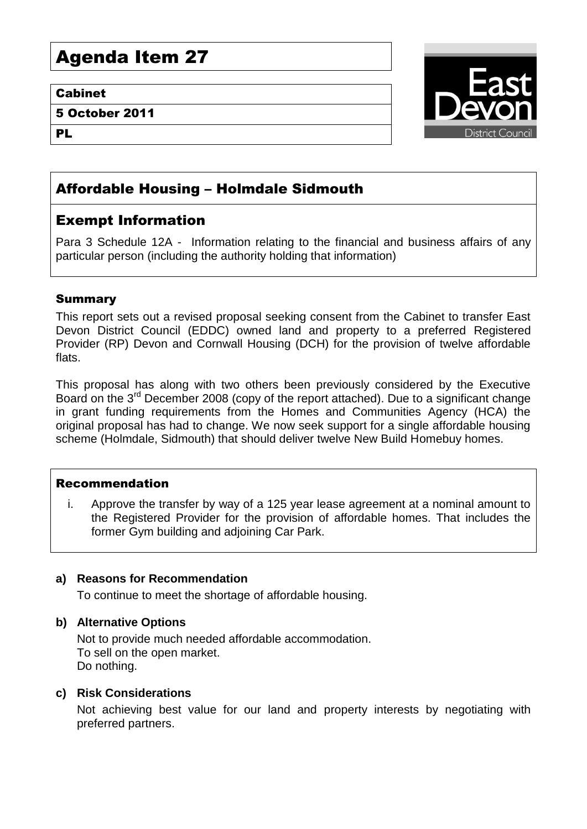# Agenda Item 27

### Cabinet

5 October 2011

PL



# Affordable Housing – Holmdale Sidmouth

# Exempt Information

Para 3 Schedule 12A - Information relating to the financial and business affairs of any particular person (including the authority holding that information)

# Summary

This report sets out a revised proposal seeking consent from the Cabinet to transfer East Devon District Council (EDDC) owned land and property to a preferred Registered Provider (RP) Devon and Cornwall Housing (DCH) for the provision of twelve affordable flats.

This proposal has along with two others been previously considered by the Executive Board on the  $3^{rd}$  December 2008 (copy of the report attached). Due to a significant change in grant funding requirements from the Homes and Communities Agency (HCA) the original proposal has had to change. We now seek support for a single affordable housing scheme (Holmdale, Sidmouth) that should deliver twelve New Build Homebuy homes.

#### Recommendation

i. Approve the transfer by way of a 125 year lease agreement at a nominal amount to the Registered Provider for the provision of affordable homes. That includes the former Gym building and adjoining Car Park.

# **a) Reasons for Recommendation**

To continue to meet the shortage of affordable housing.

# **b) Alternative Options**

Not to provide much needed affordable accommodation. To sell on the open market. Do nothing.

#### **c) Risk Considerations**

Not achieving best value for our land and property interests by negotiating with preferred partners.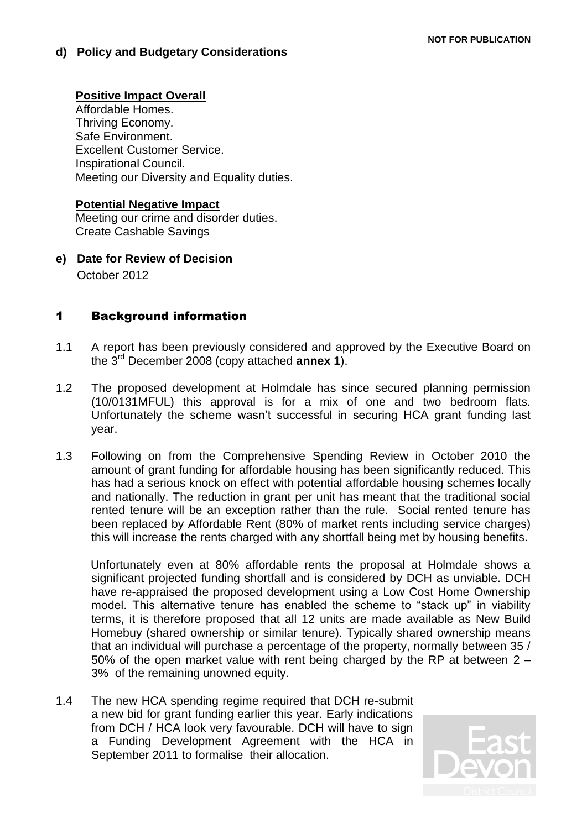#### **Positive Impact Overall**

Affordable Homes. Thriving Economy. Safe Environment. Excellent Customer Service. Inspirational Council. Meeting our Diversity and Equality duties.

#### **Potential Negative Impact**

Meeting our crime and disorder duties. Create Cashable Savings

**e) Date for Review of Decision** October 2012

### 1 Background information

- 1.1 A report has been previously considered and approved by the Executive Board on the 3rd December 2008 (copy attached **annex 1**).
- 1.2 The proposed development at Holmdale has since secured planning permission (10/0131MFUL) this approval is for a mix of one and two bedroom flats. Unfortunately the scheme wasn't successful in securing HCA grant funding last year.
- 1.3 Following on from the Comprehensive Spending Review in October 2010 the amount of grant funding for affordable housing has been significantly reduced. This has had a serious knock on effect with potential affordable housing schemes locally and nationally. The reduction in grant per unit has meant that the traditional social rented tenure will be an exception rather than the rule. Social rented tenure has been replaced by Affordable Rent (80% of market rents including service charges) this will increase the rents charged with any shortfall being met by housing benefits.

Unfortunately even at 80% affordable rents the proposal at Holmdale shows a significant projected funding shortfall and is considered by DCH as unviable. DCH have re-appraised the proposed development using a Low Cost Home Ownership model. This alternative tenure has enabled the scheme to "stack up" in viability terms, it is therefore proposed that all 12 units are made available as New Build Homebuy (shared ownership or similar tenure). Typically shared ownership means that an individual will purchase a percentage of the property, normally between 35 / 50% of the open market value with rent being charged by the RP at between 2 – 3% of the remaining unowned equity.

1.4 The new HCA spending regime required that DCH re-submit a new bid for grant funding earlier this year. Early indications from DCH / HCA look very favourable. DCH will have to sign a Funding Development Agreement with the HCA in September 2011 to formalise their allocation.

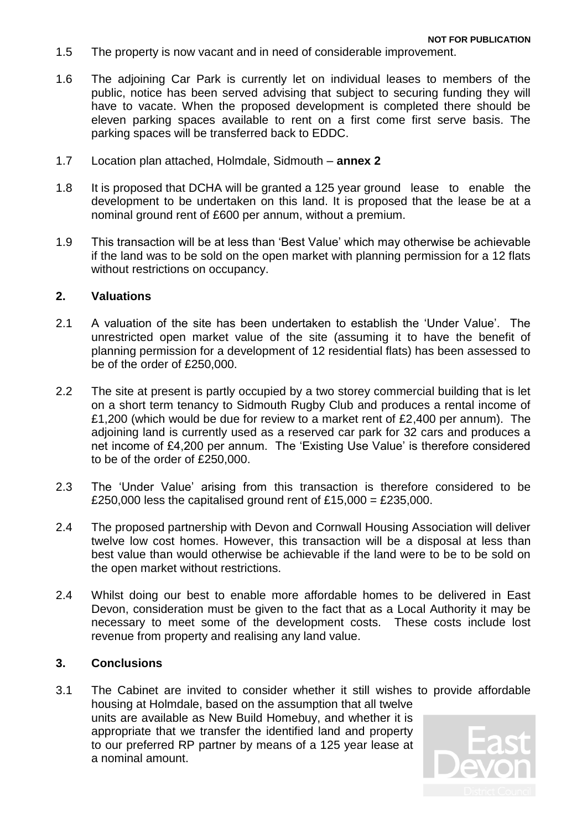- 1.5 The property is now vacant and in need of considerable improvement.
- 1.6 The adjoining Car Park is currently let on individual leases to members of the public, notice has been served advising that subject to securing funding they will have to vacate. When the proposed development is completed there should be eleven parking spaces available to rent on a first come first serve basis. The parking spaces will be transferred back to EDDC.
- 1.7 Location plan attached, Holmdale, Sidmouth **annex 2**
- 1.8 It is proposed that DCHA will be granted a 125 year ground lease to enable the development to be undertaken on this land. It is proposed that the lease be at a nominal ground rent of £600 per annum, without a premium.
- 1.9 This transaction will be at less than 'Best Value' which may otherwise be achievable if the land was to be sold on the open market with planning permission for a 12 flats without restrictions on occupancy.

#### **2. Valuations**

- 2.1 A valuation of the site has been undertaken to establish the 'Under Value'. The unrestricted open market value of the site (assuming it to have the benefit of planning permission for a development of 12 residential flats) has been assessed to be of the order of £250,000.
- 2.2 The site at present is partly occupied by a two storey commercial building that is let on a short term tenancy to Sidmouth Rugby Club and produces a rental income of £1,200 (which would be due for review to a market rent of £2,400 per annum). The adjoining land is currently used as a reserved car park for 32 cars and produces a net income of £4,200 per annum. The 'Existing Use Value' is therefore considered to be of the order of £250,000.
- 2.3 The 'Under Value' arising from this transaction is therefore considered to be £250,000 less the capitalised ground rent of £15,000 = £235,000.
- 2.4 The proposed partnership with Devon and Cornwall Housing Association will deliver twelve low cost homes. However, this transaction will be a disposal at less than best value than would otherwise be achievable if the land were to be to be sold on the open market without restrictions.
- 2.4 Whilst doing our best to enable more affordable homes to be delivered in East Devon, consideration must be given to the fact that as a Local Authority it may be necessary to meet some of the development costs. These costs include lost revenue from property and realising any land value.

### **3. Conclusions**

3.1 The Cabinet are invited to consider whether it still wishes to provide affordable housing at Holmdale, based on the assumption that all twelve units are available as New Build Homebuy, and whether it is appropriate that we transfer the identified land and property to our preferred RP partner by means of a 125 year lease at a nominal amount.